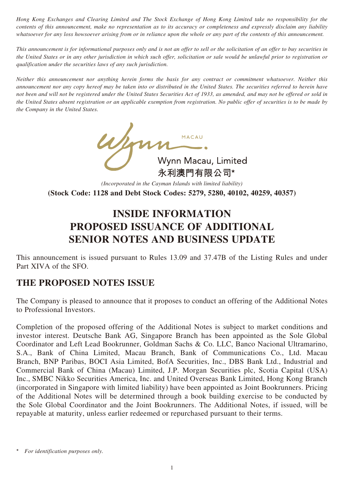*Hong Kong Exchanges and Clearing Limited and The Stock Exchange of Hong Kong Limited take no responsibility for the contents of this announcement, make no representation as to its accuracy or completeness and expressly disclaim any liability whatsoever for any loss howsoever arising from or in reliance upon the whole or any part of the contents of this announcement.* 

*This announcement is for informational purposes only and is not an offer to sell or the solicitation of an offer to buy securities in the United States or in any other jurisdiction in which such offer, solicitation or sale would be unlawful prior to registration or qualification under the securities laws of any such jurisdiction.* 

*Neither this announcement nor anything herein forms the basis for any contract or commitment whatsoever. Neither this announcement nor any copy hereof may be taken into or distributed in the United States. The securities referred to herein have not been and will not be registered under the United States Securities Act of 1933, as amended, and may not be offered or sold in the United States absent registration or an applicable exemption from registration. No public offer of securities is to be made by the Company in the United States.*

> Mynn Macau, Limited<br>永利澳門有限公司\* 永利澳門有限公司\* *(Incorporated in the Cayman Islands with limited liability)*

**(Stock Code: 1128 and Debt Stock Codes: 5279, 5280, 40102, 40259, 40357)**

# **INSIDE INFORMATION PROPOSED ISSUANCE OF ADDITIONAL SENIOR NOTES AND BUSINESS UPDATE**

This announcement is issued pursuant to Rules 13.09 and 37.47B of the Listing Rules and under Part XIVA of the SFO.

# **THE PROPOSED NOTES ISSUE**

The Company is pleased to announce that it proposes to conduct an offering of the Additional Notes to Professional Investors.

Completion of the proposed offering of the Additional Notes is subject to market conditions and investor interest. Deutsche Bank AG, Singapore Branch has been appointed as the Sole Global Coordinator and Left Lead Bookrunner, Goldman Sachs & Co. LLC, Banco Nacional Ultramarino, S.A., Bank of China Limited, Macau Branch, Bank of Communications Co., Ltd. Macau Branch, BNP Paribas, BOCI Asia Limited, BofA Securities, Inc., DBS Bank Ltd., Industrial and Commercial Bank of China (Macau) Limited, J.P. Morgan Securities plc, Scotia Capital (USA) Inc., SMBC Nikko Securities America, Inc. and United Overseas Bank Limited, Hong Kong Branch (incorporated in Singapore with limited liability) have been appointed as Joint Bookrunners. Pricing of the Additional Notes will be determined through a book building exercise to be conducted by the Sole Global Coordinator and the Joint Bookrunners. The Additional Notes, if issued, will be repayable at maturity, unless earlier redeemed or repurchased pursuant to their terms.

 $For$  *identification purposes only.*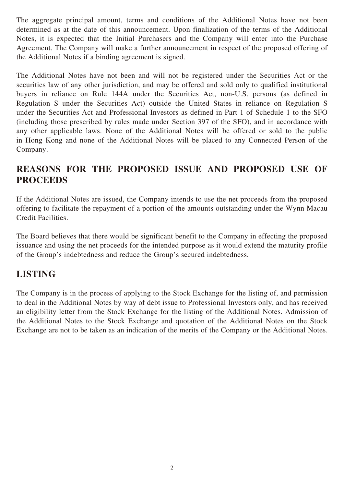The aggregate principal amount, terms and conditions of the Additional Notes have not been determined as at the date of this announcement. Upon finalization of the terms of the Additional Notes, it is expected that the Initial Purchasers and the Company will enter into the Purchase Agreement. The Company will make a further announcement in respect of the proposed offering of the Additional Notes if a binding agreement is signed.

The Additional Notes have not been and will not be registered under the Securities Act or the securities law of any other jurisdiction, and may be offered and sold only to qualified institutional buyers in reliance on Rule 144A under the Securities Act, non-U.S. persons (as defined in Regulation S under the Securities Act) outside the United States in reliance on Regulation S under the Securities Act and Professional Investors as defined in Part 1 of Schedule 1 to the SFO (including those prescribed by rules made under Section 397 of the SFO), and in accordance with any other applicable laws. None of the Additional Notes will be offered or sold to the public in Hong Kong and none of the Additional Notes will be placed to any Connected Person of the Company.

# **REASONS FOR THE PROPOSED ISSUE AND PROPOSED USE OF PROCEEDS**

If the Additional Notes are issued, the Company intends to use the net proceeds from the proposed offering to facilitate the repayment of a portion of the amounts outstanding under the Wynn Macau Credit Facilities.

The Board believes that there would be significant benefit to the Company in effecting the proposed issuance and using the net proceeds for the intended purpose as it would extend the maturity profile of the Group's indebtedness and reduce the Group's secured indebtedness.

# **LISTING**

The Company is in the process of applying to the Stock Exchange for the listing of, and permission to deal in the Additional Notes by way of debt issue to Professional Investors only, and has received an eligibility letter from the Stock Exchange for the listing of the Additional Notes. Admission of the Additional Notes to the Stock Exchange and quotation of the Additional Notes on the Stock Exchange are not to be taken as an indication of the merits of the Company or the Additional Notes.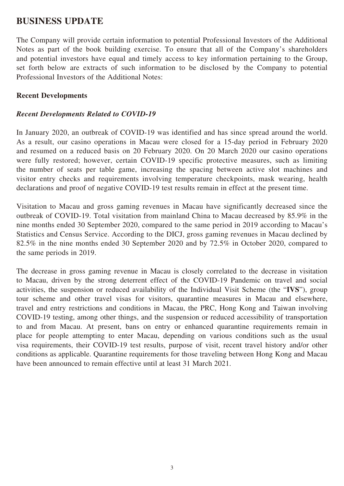## **BUSINESS UPDATE**

The Company will provide certain information to potential Professional Investors of the Additional Notes as part of the book building exercise. To ensure that all of the Company's shareholders and potential investors have equal and timely access to key information pertaining to the Group, set forth below are extracts of such information to be disclosed by the Company to potential Professional Investors of the Additional Notes:

#### **Recent Developments**

#### *Recent Developments Related to COVID-19*

In January 2020, an outbreak of COVID-19 was identified and has since spread around the world. As a result, our casino operations in Macau were closed for a 15-day period in February 2020 and resumed on a reduced basis on 20 February 2020. On 20 March 2020 our casino operations were fully restored; however, certain COVID-19 specific protective measures, such as limiting the number of seats per table game, increasing the spacing between active slot machines and visitor entry checks and requirements involving temperature checkpoints, mask wearing, health declarations and proof of negative COVID-19 test results remain in effect at the present time.

Visitation to Macau and gross gaming revenues in Macau have significantly decreased since the outbreak of COVID-19. Total visitation from mainland China to Macau decreased by 85.9% in the nine months ended 30 September 2020, compared to the same period in 2019 according to Macau's Statistics and Census Service. According to the DICJ, gross gaming revenues in Macau declined by 82.5% in the nine months ended 30 September 2020 and by 72.5% in October 2020, compared to the same periods in 2019.

The decrease in gross gaming revenue in Macau is closely correlated to the decrease in visitation to Macau, driven by the strong deterrent effect of the COVID-19 Pandemic on travel and social activities, the suspension or reduced availability of the Individual Visit Scheme (the "**IVS**"), group tour scheme and other travel visas for visitors, quarantine measures in Macau and elsewhere, travel and entry restrictions and conditions in Macau, the PRC, Hong Kong and Taiwan involving COVID-19 testing, among other things, and the suspension or reduced accessibility of transportation to and from Macau. At present, bans on entry or enhanced quarantine requirements remain in place for people attempting to enter Macau, depending on various conditions such as the usual visa requirements, their COVID-19 test results, purpose of visit, recent travel history and/or other conditions as applicable. Quarantine requirements for those traveling between Hong Kong and Macau have been announced to remain effective until at least 31 March 2021.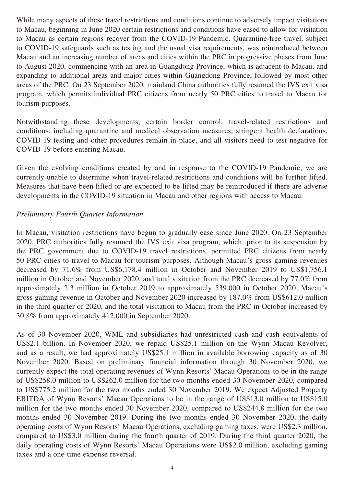While many aspects of these travel restrictions and conditions continue to adversely impact visitations to Macau, beginning in June 2020 certain restrictions and conditions have eased to allow for visitation to Macau as certain regions recover from the COVID-19 Pandemic. Quarantine-free travel, subject to COVID-19 safeguards such as testing and the usual visa requirements, was reintroduced between Macau and an increasing number of areas and cities within the PRC in progressive phases from June to August 2020, commencing with an area in Guangdong Province, which is adjacent to Macau, and expanding to additional areas and major cities within Guangdong Province, followed by most other areas of the PRC. On 23 September 2020, mainland China authorities fully resumed the IVS exit visa program, which permits individual PRC citizens from nearly 50 PRC cities to travel to Macau for tourism purposes.

Notwithstanding these developments, certain border control, travel-related restrictions and conditions, including quarantine and medical observation measures, stringent health declarations, COVID-19 testing and other procedures remain in place, and all visitors need to test negative for COVID-19 before entering Macau.

Given the evolving conditions created by and in response to the COVID-19 Pandemic, we are currently unable to determine when travel-related restrictions and conditions will be further lifted. Measures that have been lifted or are expected to be lifted may be reintroduced if there are adverse developments in the COVID-19 situation in Macau and other regions with access to Macau.

#### *Preliminary Fourth Quarter Information*

In Macau, visitation restrictions have begun to gradually ease since June 2020. On 23 September 2020, PRC authorities fully resumed the IVS exit visa program, which, prior to its suspension by the PRC government due to COVID-19 travel restrictions, permitted PRC citizens from nearly 50 PRC cities to travel to Macau for tourism purposes. Although Macau's gross gaming revenues decreased by 71.6% from US\$6,178.4 million in October and November 2019 to US\$1,756.1 million in October and November 2020, and total visitation from the PRC decreased by 77.0% from approximately 2.3 million in October 2019 to approximately 539,000 in October 2020, Macau's gross gaming revenue in October and November 2020 increased by 187.0% from US\$612.0 million in the third quarter of 2020, and the total visitation to Macau from the PRC in October increased by 30.8% from approximately 412,000 in September 2020.

As of 30 November 2020, WML and subsidiaries had unrestricted cash and cash equivalents of US\$2.1 billion. In November 2020, we repaid US\$25.1 million on the Wynn Macau Revolver, and as a result, we had approximately US\$25.1 million in available borrowing capacity as of 30 November 2020. Based on preliminary financial information through 30 November 2020, we currently expect the total operating revenues of Wynn Resorts' Macau Operations to be in the range of US\$258.0 million to US\$262.0 million for the two months ended 30 November 2020, compared to US\$775.2 million for the two months ended 30 November 2019. We expect Adjusted Property EBITDA of Wynn Resorts' Macau Operations to be in the range of US\$13.0 million to US\$15.0 million for the two months ended 30 November 2020, compared to US\$244.8 million for the two months ended 30 November 2019. During the two months ended 30 November 2020, the daily operating costs of Wynn Resorts' Macau Operations, excluding gaming taxes, were US\$2.3 million, compared to US\$3.0 million during the fourth quarter of 2019. During the third quarter 2020, the daily operating costs of Wynn Resorts' Macau Operations were US\$2.0 million, excluding gaming taxes and a one-time expense reversal.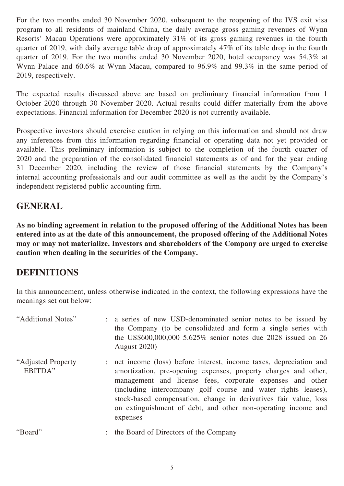For the two months ended 30 November 2020, subsequent to the reopening of the IVS exit visa program to all residents of mainland China, the daily average gross gaming revenues of Wynn Resorts' Macau Operations were approximately 31% of its gross gaming revenues in the fourth quarter of 2019, with daily average table drop of approximately 47% of its table drop in the fourth quarter of 2019. For the two months ended 30 November 2020, hotel occupancy was 54.3% at Wynn Palace and 60.6% at Wynn Macau, compared to 96.9% and 99.3% in the same period of 2019, respectively.

The expected results discussed above are based on preliminary financial information from 1 October 2020 through 30 November 2020. Actual results could differ materially from the above expectations. Financial information for December 2020 is not currently available.

Prospective investors should exercise caution in relying on this information and should not draw any inferences from this information regarding financial or operating data not yet provided or available. This preliminary information is subject to the completion of the fourth quarter of 2020 and the preparation of the consolidated financial statements as of and for the year ending 31 December 2020, including the review of those financial statements by the Company's internal accounting professionals and our audit committee as well as the audit by the Company's independent registered public accounting firm.

## **GENERAL**

**As no binding agreement in relation to the proposed offering of the Additional Notes has been entered into as at the date of this announcement, the proposed offering of the Additional Notes may or may not materialize. Investors and shareholders of the Company are urged to exercise caution when dealing in the securities of the Company.**

# **DEFINITIONS**

In this announcement, unless otherwise indicated in the context, the following expressions have the meanings set out below:

| "Additional Notes"             | a series of new USD-denominated senior notes to be issued by<br>the Company (to be consolidated and form a single series with<br>the US\$600,000,000 5.625% senior notes due 2028 issued on 26<br><b>August</b> 2020)                                                                                                                                                                                                 |
|--------------------------------|-----------------------------------------------------------------------------------------------------------------------------------------------------------------------------------------------------------------------------------------------------------------------------------------------------------------------------------------------------------------------------------------------------------------------|
| "Adjusted Property"<br>EBITDA" | : net income (loss) before interest, income taxes, depreciation and<br>amortization, pre-opening expenses, property charges and other,<br>management and license fees, corporate expenses and other<br>(including intercompany golf course and water rights leases),<br>stock-based compensation, change in derivatives fair value, loss<br>on extinguishment of debt, and other non-operating income and<br>expenses |
| "Board"                        | : the Board of Directors of the Company                                                                                                                                                                                                                                                                                                                                                                               |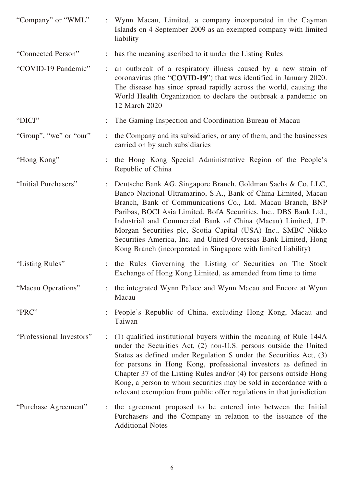| "Company" or "WML"       |                      | Wynn Macau, Limited, a company incorporated in the Cayman<br>Islands on 4 September 2009 as an exempted company with limited<br>liability                                                                                                                                                                                                                                                                                                                                                                                               |
|--------------------------|----------------------|-----------------------------------------------------------------------------------------------------------------------------------------------------------------------------------------------------------------------------------------------------------------------------------------------------------------------------------------------------------------------------------------------------------------------------------------------------------------------------------------------------------------------------------------|
| "Connected Person"       | $\ddot{\phantom{a}}$ | has the meaning ascribed to it under the Listing Rules                                                                                                                                                                                                                                                                                                                                                                                                                                                                                  |
| "COVID-19 Pandemic"      |                      | an outbreak of a respiratory illness caused by a new strain of<br>coronavirus (the "COVID-19") that was identified in January 2020.<br>The disease has since spread rapidly across the world, causing the<br>World Health Organization to declare the outbreak a pandemic on<br>12 March 2020                                                                                                                                                                                                                                           |
| "DICJ"                   |                      | The Gaming Inspection and Coordination Bureau of Macau                                                                                                                                                                                                                                                                                                                                                                                                                                                                                  |
| "Group", "we" or "our"   | $\ddot{\phantom{a}}$ | the Company and its subsidiaries, or any of them, and the businesses<br>carried on by such subsidiaries                                                                                                                                                                                                                                                                                                                                                                                                                                 |
| "Hong Kong"              |                      | the Hong Kong Special Administrative Region of the People's<br>Republic of China                                                                                                                                                                                                                                                                                                                                                                                                                                                        |
| "Initial Purchasers"     | $\ddot{\cdot}$       | Deutsche Bank AG, Singapore Branch, Goldman Sachs & Co. LLC,<br>Banco Nacional Ultramarino, S.A., Bank of China Limited, Macau<br>Branch, Bank of Communications Co., Ltd. Macau Branch, BNP<br>Paribas, BOCI Asia Limited, BofA Securities, Inc., DBS Bank Ltd.,<br>Industrial and Commercial Bank of China (Macau) Limited, J.P.<br>Morgan Securities plc, Scotia Capital (USA) Inc., SMBC Nikko<br>Securities America, Inc. and United Overseas Bank Limited, Hong<br>Kong Branch (incorporated in Singapore with limited liability) |
| "Listing Rules"          |                      | the Rules Governing the Listing of Securities on The Stock<br>Exchange of Hong Kong Limited, as amended from time to time                                                                                                                                                                                                                                                                                                                                                                                                               |
| "Macau Operations"       |                      | the integrated Wynn Palace and Wynn Macau and Encore at Wynn<br>Macau                                                                                                                                                                                                                                                                                                                                                                                                                                                                   |
| "PRC"                    |                      | People's Republic of China, excluding Hong Kong, Macau and<br>Taiwan                                                                                                                                                                                                                                                                                                                                                                                                                                                                    |
| "Professional Investors" | $\ddot{\cdot}$       | (1) qualified institutional buyers within the meaning of Rule 144A<br>under the Securities Act, (2) non-U.S. persons outside the United<br>States as defined under Regulation S under the Securities Act, (3)<br>for persons in Hong Kong, professional investors as defined in<br>Chapter 37 of the Listing Rules and/or (4) for persons outside Hong<br>Kong, a person to whom securities may be sold in accordance with a<br>relevant exemption from public offer regulations in that jurisdiction                                   |
| "Purchase Agreement"     |                      | the agreement proposed to be entered into between the Initial<br>Purchasers and the Company in relation to the issuance of the<br><b>Additional Notes</b>                                                                                                                                                                                                                                                                                                                                                                               |